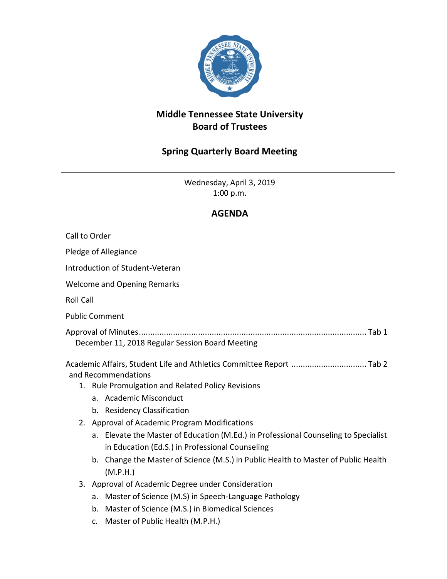

## **Middle Tennessee State University Board of Trustees**

## **Spring Quarterly Board Meeting**

Wednesday, April 3, 2019 1:00 p.m.

## **AGENDA**

| Call to Order                                                                               |                                                                                                                                        |
|---------------------------------------------------------------------------------------------|----------------------------------------------------------------------------------------------------------------------------------------|
| Pledge of Allegiance                                                                        |                                                                                                                                        |
| Introduction of Student-Veteran                                                             |                                                                                                                                        |
| <b>Welcome and Opening Remarks</b>                                                          |                                                                                                                                        |
| <b>Roll Call</b>                                                                            |                                                                                                                                        |
| <b>Public Comment</b>                                                                       |                                                                                                                                        |
| December 11, 2018 Regular Session Board Meeting                                             |                                                                                                                                        |
| Academic Affairs, Student Life and Athletics Committee Report  Tab 2<br>and Recommendations |                                                                                                                                        |
|                                                                                             | 1. Rule Promulgation and Related Policy Revisions                                                                                      |
|                                                                                             | a. Academic Misconduct                                                                                                                 |
|                                                                                             | b. Residency Classification                                                                                                            |
|                                                                                             | 2. Approval of Academic Program Modifications                                                                                          |
|                                                                                             | a. Elevate the Master of Education (M.Ed.) in Professional Counseling to Specialist<br>in Education (Ed.S.) in Professional Counseling |
|                                                                                             | b. Change the Master of Science (M.S.) in Public Health to Master of Public Health<br>(M.P.H.)                                         |
|                                                                                             | 3. Approval of Academic Degree under Consideration                                                                                     |
|                                                                                             | Master of Science (M.S) in Speech-Language Pathology<br>a.                                                                             |
|                                                                                             | Master of Science (M.S.) in Biomedical Sciences<br>b.                                                                                  |
|                                                                                             | c. Master of Public Health (M.P.H.)                                                                                                    |